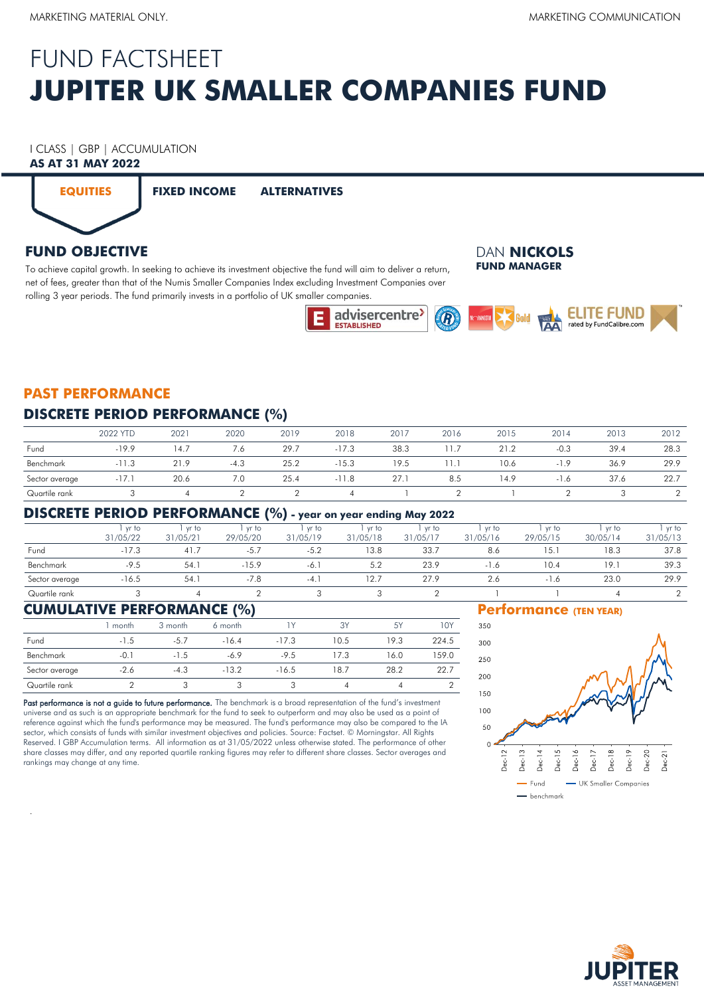# **JUPITER UK SMALLER COMPANIES FUND** FUND FACTSHEET

# I CLASS | GBP | ACCUMULATION

## **AS AT 31 MAY 2022**



**EQUITIES FIXED INCOME ALTERNATIVES**

# **FUND OBJECTIVE**

To achieve capital growth. In seeking to achieve its investment objective the fund will aim to deliver a return, net of fees, greater than that of the Numis Smaller Companies Index excluding Investment Companies over rolling 3 year periods. The fund primarily invests in a portfolio of UK smaller companies.

#### DAN **NICKOLS FUND MANAGER**



# **PAST PERFORMANCE**

### **DISCRETE PERIOD PERFORMANCE (%)**

|                | 2022 YTD | 2021 | 2020   | 2019 | 2018    | 2017 | 2016 | 2015 | 2014   | 2013 | 2012 |
|----------------|----------|------|--------|------|---------|------|------|------|--------|------|------|
| Fund           | $-19.9$  | 14.7 | 7.6    | 29.7 | $-17.3$ | 38.3 |      | 21.2 | $-0.3$ | 39.4 | 28.3 |
| Benchmark      | $-11.3$  | 21.9 | $-4.3$ | 25.2 | $-15.3$ | 19.5 |      | 10.6 | 1.9    | 36.9 | 29.9 |
| Sector average | $-1/1$   | 20.6 | 7.0    | 25.4 | $-11.8$ | 27.1 | 8.5  | 14.9 | $-1.0$ | 37.6 | 22.7 |
| Quartile rank  |          |      |        |      |         |      |      |      |        |      |      |

#### **DISCRETE PERIOD PERFORMANCE (%) - year on year ending May 2022**

|                | yr to    | vr to    | yr to    | vr to    | yr to    | yr to    | yr to    | yr to    | vr to    | yr to    |
|----------------|----------|----------|----------|----------|----------|----------|----------|----------|----------|----------|
|                | 31/05/22 | 31/05/21 | 29/05/20 | 31/05/19 | 31/05/18 | 31/05/17 | 31/05/16 | 29/05/15 | 30/05/14 | 31/05/13 |
| Fund           | $-17.3$  | 41.      | $-5.7$   | $-5.2$   | 13.8     | 33.7     | 8.6      | 15.1     | 18.3     | 37.8     |
| Benchmark      | $-9.5$   | 54.1     | $-15.9$  | -6.      | 5.2      | 23.9     | $-1.6$   | 10.4     | 19.      | 39.3     |
| Sector average | $-16.5$  | 54.1     | $-7.8$   | $-4.$    | 12.7     | 27.9     | 2.6      | $-1.6$   | 23.0     | 29.9     |
| Quartile rank  |          |          |          |          |          |          |          |          |          |          |
|                |          |          |          |          |          |          |          |          |          |          |

### **CUMULATIVE PERFORMANCE (%)**

.

|                | 1 month | 3 month | 6 month |         | 3Y   | 5Y   | 10Y   |
|----------------|---------|---------|---------|---------|------|------|-------|
| Fund           | $-1.5$  | $-5.7$  | $-16.4$ | $-17.3$ | 10.5 | 19.3 | 224.5 |
| Benchmark      | $-0.1$  | $-1.5$  | $-6.9$  | $-9.5$  | 17.3 | 16.0 | 159.0 |
| Sector average | $-2.6$  | $-4.3$  | $-13.2$ | $-16.5$ | 18.7 | 28.2 | 22.7  |
| Quartile rank  |         |         |         |         |      |      |       |

Past performance is not a guide to future performance. The benchmark is a broad representation of the fund's investment universe and as such is an appropriate benchmark for the fund to seek to outperform and may also be used as a point of reference against which the fund's performance may be measured. The fund's performance may also be compared to the IA sector, which consists of funds with similar investment objectives and policies. Source: Factset. © Morningstar. All Rights Reserved. I GBP Accumulation terms. All information as at 31/05/2022 unless otherwise stated. The performance of other share classes may differ, and any reported quartile ranking figures may refer to different share classes. Sector averages and rankings may change at any time.

#### **Performance (TEN YEAR)**



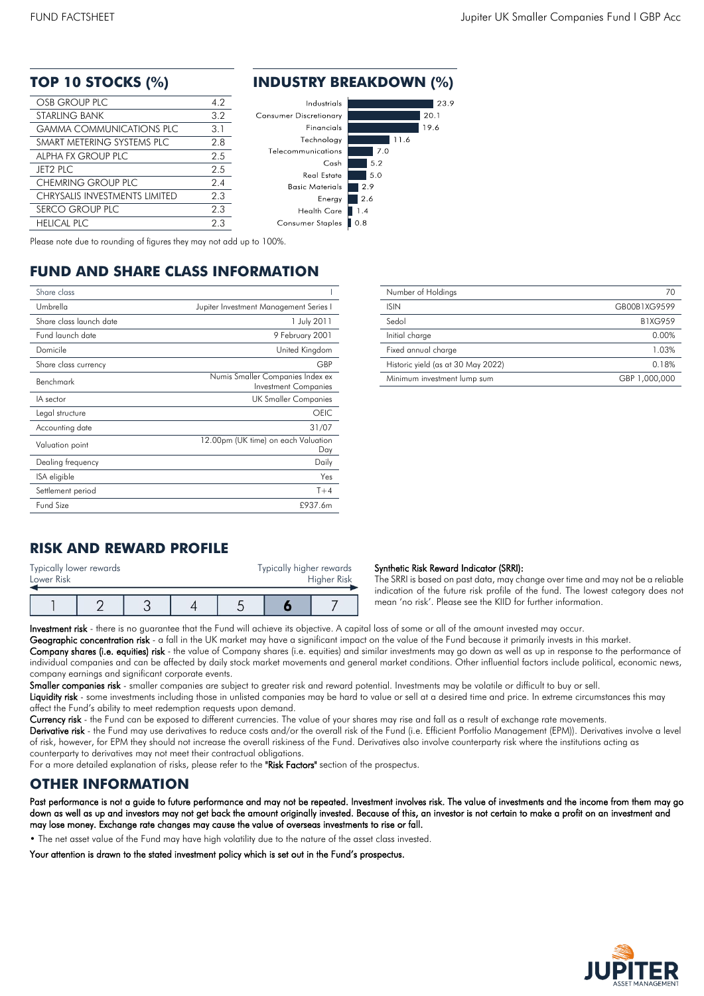| OSB GROUP PLC                        | 4.2 |
|--------------------------------------|-----|
| <b>STARLING BANK</b>                 | 32  |
| <b>GAMMA COMMUNICATIONS PLC</b>      | 3.1 |
| SMART METERING SYSTEMS PLC           | 2.8 |
| ALPHA FX GROUP PLC                   | 25  |
| <b>JET2 PLC</b>                      | 2.5 |
| CHEMRING GROUP PLC                   | 2.4 |
| <b>CHRYSALIS INVESTMENTS LIMITED</b> | 23  |
| SERCO GROUP PLC                      | 2.3 |
| <b>HELICAL PLC</b>                   | 23  |

#### **TOP 10 STOCKS (%) INDUSTRY BREAKDOWN (%)**



Please note due to rounding of figures they may not add up to 100%.

# **FUND AND SHARE CLASS INFORMATION**

| Share class             |                                                                 |
|-------------------------|-----------------------------------------------------------------|
| Umbrella                | Jupiter Investment Management Series I                          |
| Share class launch date | 1 July 2011                                                     |
| Fund launch date        | 9 February 2001                                                 |
| Domicile                | United Kingdom                                                  |
| Share class currency    | GBP                                                             |
| Benchmark               | Numis Smaller Companies Index ex<br><b>Investment Companies</b> |
| IA sector               | UK Smaller Companies                                            |
| Legal structure         | OEIC.                                                           |
| Accounting date         | 31/07                                                           |
| Valuation point         | 12.00pm (UK time) on each Valuation<br>Day                      |
| Dealing frequency       | Daily                                                           |
| ISA eligible            | Yes                                                             |
| Settlement period       | $T+4$                                                           |
| Fund Size               | £937.6m                                                         |

| Number of Holdings                 | 70             |
|------------------------------------|----------------|
| <b>ISIN</b>                        | GB00B1XG9599   |
| Sedol                              | <b>B1XG959</b> |
| Initial charge                     | 0.00%          |
| Fixed annual charge                | 1.03%          |
| Historic yield (as at 30 May 2022) | 0.18%          |
| Minimum investment lump sum        | GBP 1,000,000  |

# **RISK AND REWARD PROFILE**

| Typically lower rewards<br>Lower Risk |  | Typically higher rewards | Higher Risk |  |  |
|---------------------------------------|--|--------------------------|-------------|--|--|
|                                       |  |                          |             |  |  |

#### Synthetic Risk Reward Indicator (SRRI):

The SRRI is based on past data, may change over time and may not be a reliable indication of the future risk profile of the fund. The lowest category does not mean 'no risk'. Please see the KIID for further information.

Investment risk - there is no quarantee that the Fund will achieve its objective. A capital loss of some or all of the amount invested may occur.

Geographic concentration risk - a fall in the UK market may have a significant impact on the value of the Fund because it primarily invests in this market. Company shares (i.e. equities) risk - the value of Company shares (i.e. equities) and similar investments may go down as well as up in response to the performance of individual companies and can be affected by daily stock market movements and general market conditions. Other influential factors include political, economic news, company earnings and significant corporate events.

Smaller companies risk - smaller companies are subject to greater risk and reward potential. Investments may be volatile or difficult to buy or sell.

Liquidity risk - some investments including those in unlisted companies may be hard to value or sell at a desired time and price. In extreme circumstances this may affect the Fund's ability to meet redemption requests upon demand.

Currency risk - the Fund can be exposed to different currencies. The value of your shares may rise and fall as a result of exchange rate movements.

Derivative risk - the Fund may use derivatives to reduce costs and/or the overall risk of the Fund (i.e. Efficient Portfolio Management (EPM)). Derivatives involve a level of risk, however, for EPM they should not increase the overall riskiness of the Fund. Derivatives also involve counterparty risk where the institutions acting as counterparty to derivatives may not meet their contractual obligations.

For a more detailed explanation of risks, please refer to the "Risk Factors" section of the prospectus.

#### **OTHER INFORMATION**

Past performance is not a guide to future performance and may not be repeated. Investment involves risk. The value of investments and the income from them may go down as well as up and investors may not get back the amount originally invested. Because of this, an investor is not certain to make a profit on an investment and may lose money. Exchange rate changes may cause the value of overseas investments to rise or fall.

• The net asset value of the Fund may have high volatility due to the nature of the asset class invested.

Your attention is drawn to the stated investment policy which is set out in the Fund's prospectus.

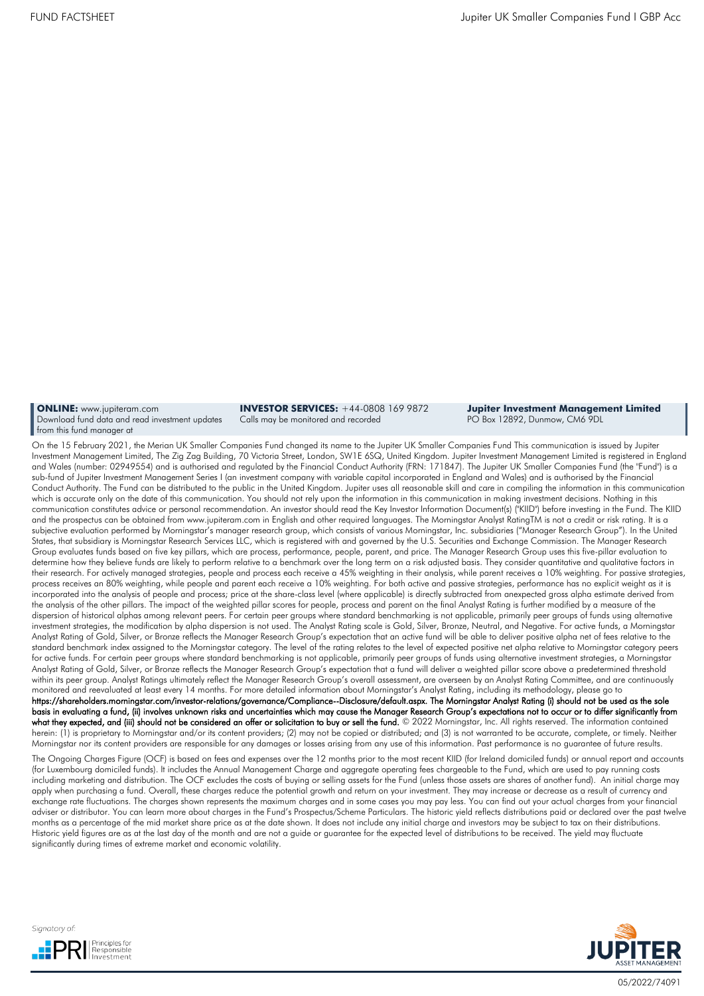**ONLINE:** [www.jupiteram.com](http://www.jupiteram.com/) Download fund data and read investment updates from this fund manager at

**INVESTOR SERVICES:** +44-0808 169 9872 Calls may be monitored and recorded

**Jupiter Investment Management Limited** PO Box 12892, Dunmow, CM6 9DL

On the 15 February 2021, the Merian UK Smaller Companies Fund changed its name to the Jupiter UK Smaller Companies Fund This communication is issued by Jupiter Investment Management Limited, The Zig Zag Building, 70 Victoria Street, London, SW1E 6SQ, United Kingdom. Jupiter Investment Management Limited is registered in England and Wales (number: 02949554) and is authorised and regulated by the Financial Conduct Authority (FRN: 171847). The Jupiter UK Smaller Companies Fund (the "Fund") is a sub-fund of Jupiter Investment Management Series I (an investment company with variable capital incorporated in England and Wales) and is authorised by the Financial Conduct Authority. The Fund can be distributed to the public in the United Kingdom. Jupiter uses all reasonable skill and care in compiling the information in this communication which is accurate only on the date of this communication. You should not rely upon the information in this communication in making investment decisions. Nothing in this communication constitutes advice or personal recommendation. An investor should read the Key Investor Information Document(s) ("KIID") before investing in the Fund. The KIID and the prospectus can be obtained from www.jupiteram.com in English and other required languages. The Morningstar Analyst RatingTM is not a credit or risk rating. It is a subjective evaluation performed by Morningstar's manager research group, which consists of various Morningstar, Inc. subsidiaries ("Manager Research Group"). In the United States, that subsidiary is Morningstar Research Services LLC, which is registered with and governed by the U.S. Securities and Exchange Commission. The Manager Research Group evaluates funds based on five key pillars, which are process, performance, people, parent, and price. The Manager Research Group uses this five-pillar evaluation to determine how they believe funds are likely to perform relative to a benchmark over the long term on a risk adjusted basis. They consider quantitative and qualitative factors in their research. For actively managed strategies, people and process each receive a 45% weighting in their analysis, while parent receives a 10% weighting. For passive strategies, process receives an 80% weighting, while people and parent each receive a 10% weighting. For both active and passive strategies, performance has no explicit weight as it is incorporated into the analysis of people and process; price at the share-class level (where applicable) is directly subtracted from anexpected gross alpha estimate derived from the analysis of the other pillars. The impact of the weighted pillar scores for people, process and parent on the final Analyst Rating is further modified by a measure of the dispersion of historical alphas among relevant peers. For certain peer groups where standard benchmarking is not applicable, primarily peer groups of funds using alternative investment strategies, the modification by alpha dispersion is not used. The Analyst Rating scale is Gold, Silver, Bronze, Neutral, and Negative. For active funds, a Morningstar Analyst Rating of Gold, Silver, or Bronze reflects the Manager Research Group's expectation that an active fund will be able to deliver positive alpha net of fees relative to the standard benchmark index assigned to the Morningstar category. The level of the rating relates to the level of expected positive net alpha relative to Morningstar category peers for active funds. For certain peer groups where standard benchmarking is not applicable, primarily peer groups of funds using alternative investment strategies, a Morningstar Analyst Rating of Gold, Silver, or Bronze reflects the Manager Research Group's expectation that a fund will deliver a weighted pillar score above a predetermined threshold within its peer group. Analyst Ratings ultimately reflect the Manager Research Group's overall assessment, are overseen by an Analyst Rating Committee, and are continuously monitored and reevaluated at least every 14 months. For more detailed information about Morningstar's Analyst Rating, including its methodology, please go to https://shareholders.morningstar.com/investor-relations/governance/Compliance--Disclosure/default.aspx. The Morningstar Analyst Rating (i) should not be used as the sole basis in evaluating a fund, (ii) involves unknown risks and uncertainties which may cause the Manager Research Group's expectations not to occur or to differ significantly from **what they expected, and (iii) should not be considered an offer or solicitation to buy or sell the fund. © 2022 Morningstar, Inc. All rights reserved. The information contained** herein: (1) is proprietary to Morningstar and/or its content providers; (2) may not be copied or distributed; and (3) is not warranted to be accurate, complete, or timely. Neither Morningstar nor its content providers are responsible for any damages or losses arising from any use of this information. Past performance is no guarantee of future results.

The Ongoing Charges Figure (OCF) is based on fees and expenses over the 12 months prior to the most recent KIID (for Ireland domiciled funds) or annual report and accounts (for Luxembourg domiciled funds). It includes the Annual Management Charge and aggregate operating fees chargeable to the Fund, which are used to pay running costs including marketing and distribution. The OCF excludes the costs of buying or selling assets for the Fund (unless those assets are shares of another fund). An initial charge may apply when purchasing a fund. Overall, these charges reduce the potential growth and return on your investment. They may increase or decrease as a result of currency and exchange rate fluctuations. The charges shown represents the maximum charges and in some cases you may pay less. You can find out your actual charges from your financial adviser or distributor. You can learn more about charges in the Fund's Prospectus/Scheme Particulars. The historic yield reflects distributions paid or declared over the past twelve months as a percentage of the mid market share price as at the date shown. It does not include any initial charge and investors may be subject to tax on their distributions. Historic yield figures are as at the last day of the month and are not a guide or guarantee for the expected level of distributions to be received. The yield may fluctuate significantly during times of extreme market and economic volatility.